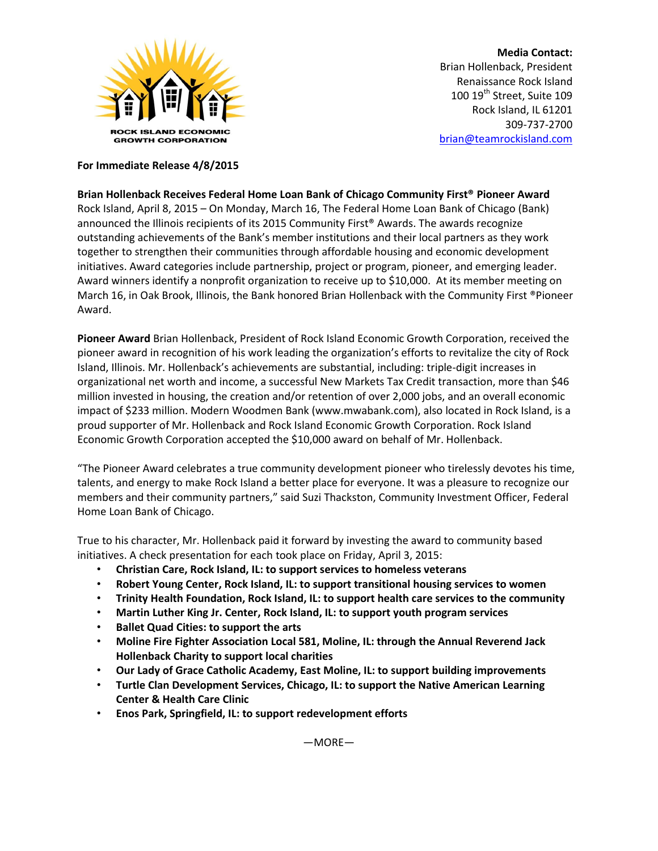

**Media Contact:** Brian Hollenback, President Renaissance Rock Island 100 19<sup>th</sup> Street, Suite 109 Rock Island, IL 61201 309-737-2700 [brian@teamrockisland.com](mailto:brian@teamrockisland.com)

## **For Immediate Release 4/8/2015**

**Brian Hollenback Receives Federal Home Loan Bank of Chicago Community First® Pioneer Award**  Rock Island, April 8, 2015 – On Monday, March 16, The Federal Home Loan Bank of Chicago (Bank) announced the Illinois recipients of its 2015 Community First<sup>®</sup> Awards. The awards recognize outstanding achievements of the Bank's member institutions and their local partners as they work together to strengthen their communities through affordable housing and economic development initiatives. Award categories include partnership, project or program, pioneer, and emerging leader. Award winners identify a nonprofit organization to receive up to \$10,000. At its member meeting on March 16, in Oak Brook, Illinois, the Bank honored Brian Hollenback with the Community First ®Pioneer Award.

**Pioneer Award** Brian Hollenback, President of Rock Island Economic Growth Corporation, received the pioneer award in recognition of his work leading the organization's efforts to revitalize the city of Rock Island, Illinois. Mr. Hollenback's achievements are substantial, including: triple-digit increases in organizational net worth and income, a successful New Markets Tax Credit transaction, more than \$46 million invested in housing, the creation and/or retention of over 2,000 jobs, and an overall economic impact of \$233 million. Modern Woodmen Bank (www.mwabank.com), also located in Rock Island, is a proud supporter of Mr. Hollenback and Rock Island Economic Growth Corporation. Rock Island Economic Growth Corporation accepted the \$10,000 award on behalf of Mr. Hollenback.

"The Pioneer Award celebrates a true community development pioneer who tirelessly devotes his time, talents, and energy to make Rock Island a better place for everyone. It was a pleasure to recognize our members and their community partners," said Suzi Thackston, Community Investment Officer, Federal Home Loan Bank of Chicago.

True to his character, Mr. Hollenback paid it forward by investing the award to community based initiatives. A check presentation for each took place on Friday, April 3, 2015:

- **Christian Care, Rock Island, IL: to support services to homeless veterans**
- **Robert Young Center, Rock Island, IL: to support transitional housing services to women**
- **Trinity Health Foundation, Rock Island, IL: to support health care services to the community**
- **Martin Luther King Jr. Center, Rock Island, IL: to support youth program services**
- **Ballet Quad Cities: to support the arts**
- **Moline Fire Fighter Association Local 581, Moline, IL: through the Annual Reverend Jack Hollenback Charity to support local charities**
- **Our Lady of Grace Catholic Academy, East Moline, IL: to support building improvements**
- **Turtle Clan Development Services, Chicago, IL: to support the Native American Learning Center & Health Care Clinic**
- **Enos Park, Springfield, IL: to support redevelopment efforts**

—MORE—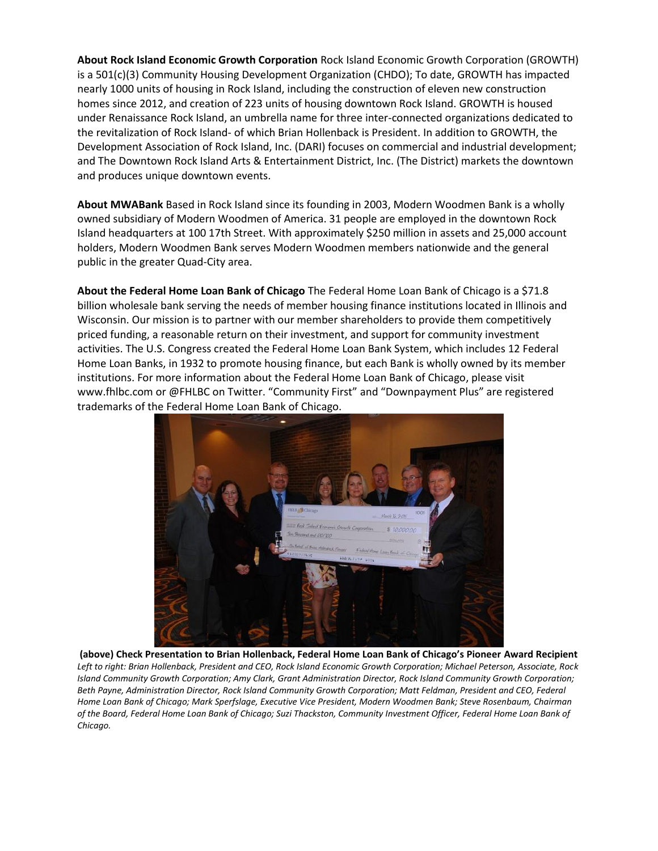**About Rock Island Economic Growth Corporation** Rock Island Economic Growth Corporation (GROWTH) is a 501(c)(3) Community Housing Development Organization (CHDO); To date, GROWTH has impacted nearly 1000 units of housing in Rock Island, including the construction of eleven new construction homes since 2012, and creation of 223 units of housing downtown Rock Island. GROWTH is housed under Renaissance Rock Island, an umbrella name for three inter-connected organizations dedicated to the revitalization of Rock Island- of which Brian Hollenback is President. In addition to GROWTH, the Development Association of Rock Island, Inc. (DARI) focuses on commercial and industrial development; and The Downtown Rock Island Arts & Entertainment District, Inc. (The District) markets the downtown and produces unique downtown events.

**About MWABank** Based in Rock Island since its founding in 2003, Modern Woodmen Bank is a wholly owned subsidiary of Modern Woodmen of America. 31 people are employed in the downtown Rock Island headquarters at 100 17th Street. With approximately \$250 million in assets and 25,000 account holders, Modern Woodmen Bank serves Modern Woodmen members nationwide and the general public in the greater Quad-City area.

**About the Federal Home Loan Bank of Chicago** The Federal Home Loan Bank of Chicago is a \$71.8 billion wholesale bank serving the needs of member housing finance institutions located in Illinois and Wisconsin. Our mission is to partner with our member shareholders to provide them competitively priced funding, a reasonable return on their investment, and support for community investment activities. The U.S. Congress created the Federal Home Loan Bank System, which includes 12 Federal Home Loan Banks, in 1932 to promote housing finance, but each Bank is wholly owned by its member institutions. For more information about the Federal Home Loan Bank of Chicago, please visit www.fhlbc.com or @FHLBC on Twitter. "Community First" and "Downpayment Plus" are registered trademarks of the Federal Home Loan Bank of Chicago.



**(above) Check Presentation to Brian Hollenback, Federal Home Loan Bank of Chicago's Pioneer Award Recipient** *Left to right: Brian Hollenback, President and CEO, Rock Island Economic Growth Corporation; Michael Peterson, Associate, Rock Island Community Growth Corporation; Amy Clark, Grant Administration Director, Rock Island Community Growth Corporation; Beth Payne, Administration Director, Rock Island Community Growth Corporation; Matt Feldman, President and CEO, Federal Home Loan Bank of Chicago; Mark Sperfslage, Executive Vice President, Modern Woodmen Bank; Steve Rosenbaum, Chairman of the Board, Federal Home Loan Bank of Chicago; Suzi Thackston, Community Investment Officer, Federal Home Loan Bank of Chicago.*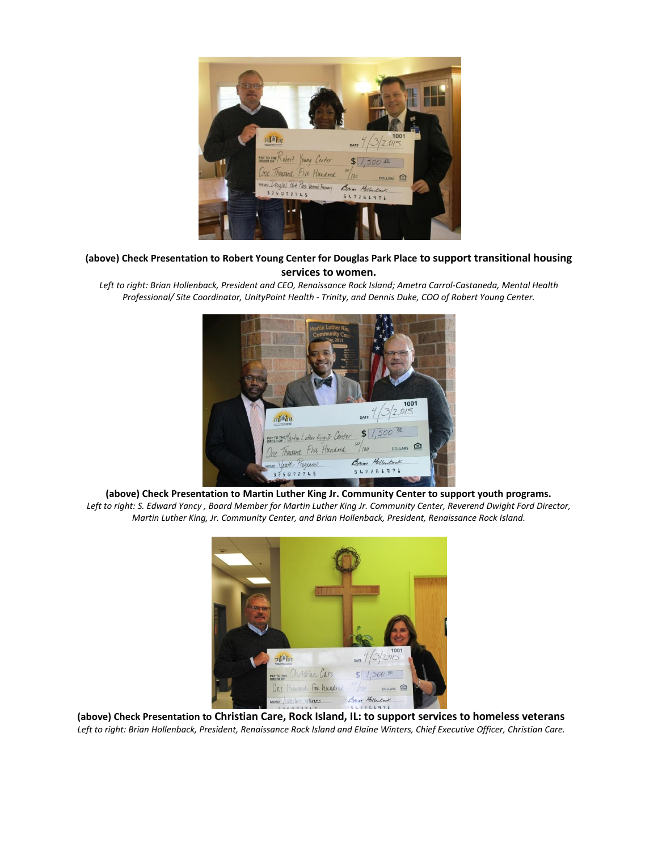

## **(above) Check Presentation to Robert Young Center for Douglas Park Place to support transitional housing services to women.**

*Left to right: Brian Hollenback, President and CEO, Renaissance Rock Island; Ametra Carrol-Castaneda, Mental Health Professional/ Site Coordinator, UnityPoint Health - Trinity, and Dennis Duke, COO of Robert Young Center.*



**(above) Check Presentation to Martin Luther King Jr. Community Center to support youth programs.**  *Left to right: S. Edward Yancy , Board Member for Martin Luther King Jr. Community Center, Reverend Dwight Ford Director, Martin Luther King, Jr. Community Center, and Brian Hollenback, President, Renaissance Rock Island.* 



**(above) Check Presentation to Christian Care, Rock Island, IL: to support services to homeless veterans** *Left to right: Brian Hollenback, President, Renaissance Rock Island and Elaine Winters, Chief Executive Officer, Christian Care.*